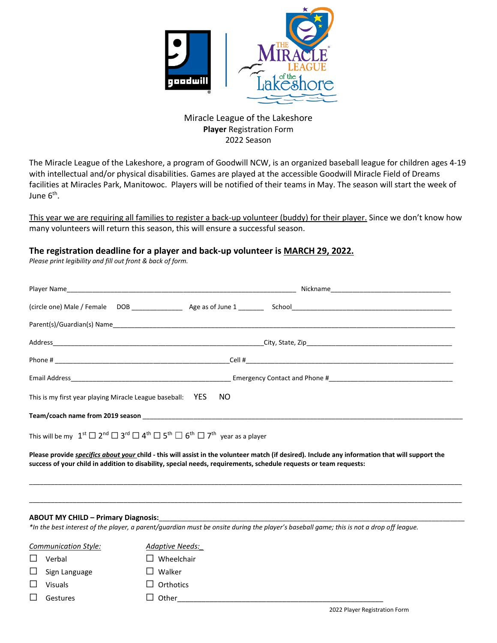

Miracle League of the Lakeshore **Player** Registration Form 2022 Season

The Miracle League of the Lakeshore, a program of Goodwill NCW, is an organized baseball league for children ages 4-19 with intellectual and/or physical disabilities. Games are played at the accessible Goodwill Miracle Field of Dreams facilities at Miracles Park, Manitowoc. Players will be notified of their teams in May. The season will start the week of June 6<sup>th</sup>.

This year we are requiring all families to register a back-up volunteer (buddy) for their player. Since we don't know how many volunteers will return this season, this will ensure a successful season.

## **The registration deadline for a player and back-up volunteer is MARCH 29, 2022.**

*Please print legibility and fill out front & back of form.*

| This is my first year playing Miracle League baseball: YES NO                                                                                                                                                                                                               |  |  |
|-----------------------------------------------------------------------------------------------------------------------------------------------------------------------------------------------------------------------------------------------------------------------------|--|--|
|                                                                                                                                                                                                                                                                             |  |  |
| This will be my $1^{\text{st}} \square 2^{\text{nd}} \square 3^{\text{rd}} \square 4^{\text{th}} \square 5^{\text{th}} \square 6^{\text{th}} \square 7^{\text{th}}$ year as a player                                                                                        |  |  |
| Please provide <i>specifics about your</i> child - this will assist in the volunteer match (if desired). Include any information that will support the<br>success of your child in addition to disability, special needs, requirements, schedule requests or team requests: |  |  |

\_\_\_\_\_\_\_\_\_\_\_\_\_\_\_\_\_\_\_\_\_\_\_\_\_\_\_\_\_\_\_\_\_\_\_\_\_\_\_\_\_\_\_\_\_\_\_\_\_\_\_\_\_\_\_\_\_\_\_\_\_\_\_\_\_\_\_\_\_\_\_\_\_\_\_\_\_\_\_\_\_\_\_\_\_\_\_\_\_\_\_\_\_\_\_\_\_\_\_\_\_\_\_\_\_\_\_\_\_\_\_\_\_\_\_\_\_\_\_

\_\_\_\_\_\_\_\_\_\_\_\_\_\_\_\_\_\_\_\_\_\_\_\_\_\_\_\_\_\_\_\_\_\_\_\_\_\_\_\_\_\_\_\_\_\_\_\_\_\_\_\_\_\_\_\_\_\_\_\_\_\_\_\_\_\_\_\_\_\_\_\_\_\_\_\_\_\_\_\_\_\_\_\_\_\_\_\_\_\_\_\_\_\_\_\_\_\_\_\_\_\_\_\_\_\_\_\_\_\_\_\_\_\_\_\_\_\_\_

## **ABOUT MY CHILD – Primary Diagnosis:**\_\_\_\_\_\_\_\_\_\_\_\_\_\_\_\_\_\_\_\_\_\_\_\_\_\_\_\_\_\_\_\_\_\_\_\_\_\_\_\_\_\_\_\_\_\_\_\_\_\_\_\_\_\_\_\_\_\_\_\_\_\_\_\_\_\_\_\_\_\_\_\_\_\_\_\_\_\_\_\_\_\_\_\_

*\*In the best interest of the player, a parent/guardian must be onsite during the player's baseball game; this is not a drop off league.*

| Communication Style: |                      | <b>Adaptive Needs:</b> |
|----------------------|----------------------|------------------------|
|                      | Verbal               | Wheelchair             |
|                      | $\Box$ Sign Language | Walker<br>$\mathbf{I}$ |
|                      | <b>Visuals</b>       | $\Box$ Orthotics       |
|                      | Gestures             | $\Box$ Other           |
|                      |                      |                        |